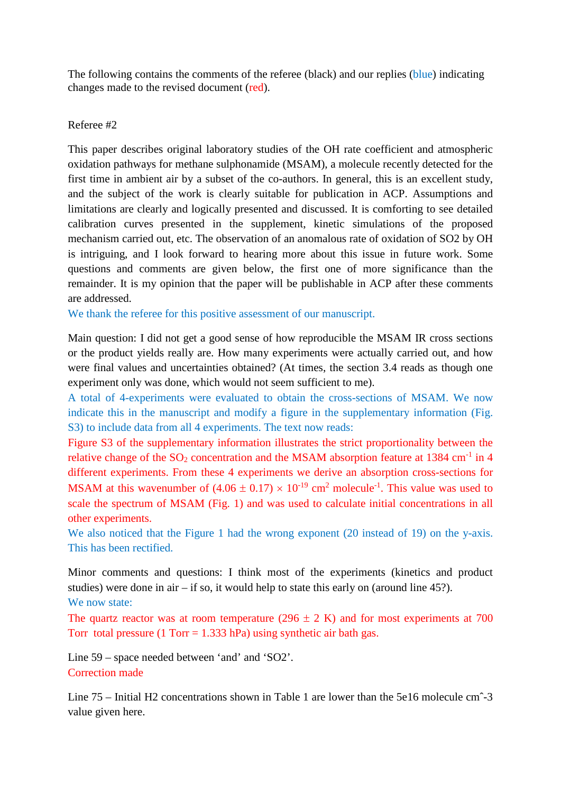The following contains the comments of the referee (black) and our replies (blue) indicating changes made to the revised document (red).

## Referee #2

This paper describes original laboratory studies of the OH rate coefficient and atmospheric oxidation pathways for methane sulphonamide (MSAM), a molecule recently detected for the first time in ambient air by a subset of the co-authors. In general, this is an excellent study, and the subject of the work is clearly suitable for publication in ACP. Assumptions and limitations are clearly and logically presented and discussed. It is comforting to see detailed calibration curves presented in the supplement, kinetic simulations of the proposed mechanism carried out, etc. The observation of an anomalous rate of oxidation of SO2 by OH is intriguing, and I look forward to hearing more about this issue in future work. Some questions and comments are given below, the first one of more significance than the remainder. It is my opinion that the paper will be publishable in ACP after these comments are addressed.

We thank the referee for this positive assessment of our manuscript.

Main question: I did not get a good sense of how reproducible the MSAM IR cross sections or the product yields really are. How many experiments were actually carried out, and how were final values and uncertainties obtained? (At times, the section 3.4 reads as though one experiment only was done, which would not seem sufficient to me).

A total of 4-experiments were evaluated to obtain the cross-sections of MSAM. We now indicate this in the manuscript and modify a figure in the supplementary information (Fig. S3) to include data from all 4 experiments. The text now reads:

Figure S3 of the supplementary information illustrates the strict proportionality between the relative change of the  $SO_2$  concentration and the MSAM absorption feature at 1384 cm<sup>-1</sup> in 4 different experiments. From these 4 experiments we derive an absorption cross-sections for MSAM at this wavenumber of  $(4.06 \pm 0.17) \times 10^{-19}$  cm<sup>2</sup> molecule<sup>-1</sup>. This value was used to scale the spectrum of MSAM (Fig. 1) and was used to calculate initial concentrations in all other experiments.

We also noticed that the Figure 1 had the wrong exponent (20 instead of 19) on the y-axis. This has been rectified.

Minor comments and questions: I think most of the experiments (kinetics and product studies) were done in air – if so, it would help to state this early on (around line 45?). We now state:

The quartz reactor was at room temperature (296  $\pm$  2 K) and for most experiments at 700 Torr total pressure  $(1 \text{ Torr} = 1.333 \text{ hPa})$  using synthetic air bath gas.

Line 59 – space needed between 'and' and 'SO2'. Correction made

Line 75 – Initial H2 concentrations shown in Table 1 are lower than the 5e16 molecule cmˆ-3 value given here.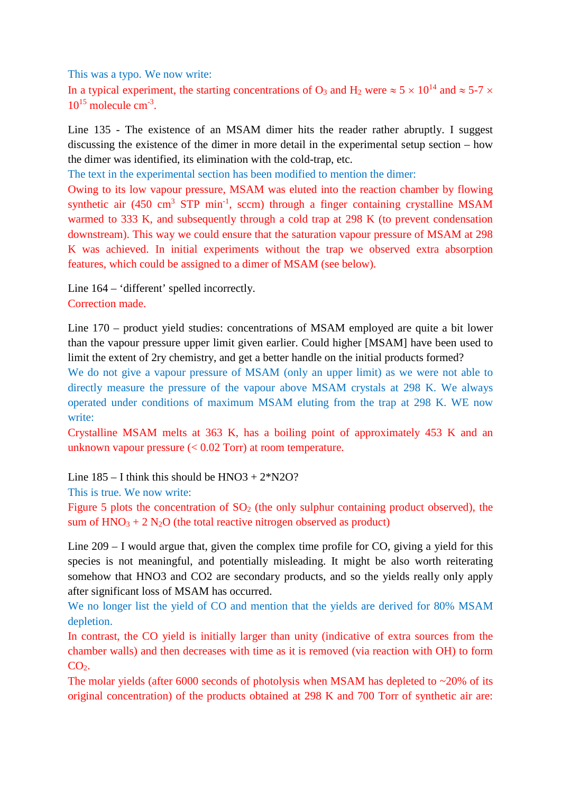This was a typo. We now write:

In a typical experiment, the starting concentrations of O<sub>3</sub> and H<sub>2</sub> were  $\approx$  5  $\times$  10<sup>14</sup> and  $\approx$  5-7  $\times$  $10^{15}$  molecule cm<sup>-3</sup>.

Line 135 - The existence of an MSAM dimer hits the reader rather abruptly. I suggest discussing the existence of the dimer in more detail in the experimental setup section – how the dimer was identified, its elimination with the cold-trap, etc.

The text in the experimental section has been modified to mention the dimer:

Owing to its low vapour pressure, MSAM was eluted into the reaction chamber by flowing synthetic air  $(450 \text{ cm}^3 \text{ STP min}^{-1}, \text{sccm})$  through a finger containing crystalline MSAM warmed to 333 K, and subsequently through a cold trap at 298 K (to prevent condensation downstream). This way we could ensure that the saturation vapour pressure of MSAM at 298 K was achieved. In initial experiments without the trap we observed extra absorption features, which could be assigned to a dimer of MSAM (see below).

Line 164 – 'different' spelled incorrectly. Correction made.

Line 170 – product yield studies: concentrations of MSAM employed are quite a bit lower than the vapour pressure upper limit given earlier. Could higher [MSAM] have been used to limit the extent of 2ry chemistry, and get a better handle on the initial products formed?

We do not give a vapour pressure of MSAM (only an upper limit) as we were not able to directly measure the pressure of the vapour above MSAM crystals at 298 K. We always operated under conditions of maximum MSAM eluting from the trap at 298 K. WE now write:

Crystalline MSAM melts at 363 K, has a boiling point of approximately 453 K and an unknown vapour pressure (< 0.02 Torr) at room temperature.

Line  $185 - I$  think this should be  $HNO3 + 2*N2O$ ?

This is true. We now write:

Figure 5 plots the concentration of  $SO<sub>2</sub>$  (the only sulphur containing product observed), the sum of  $HNO<sub>3</sub> + 2 N<sub>2</sub>O$  (the total reactive nitrogen observed as product)

Line 209 – I would argue that, given the complex time profile for CO, giving a yield for this species is not meaningful, and potentially misleading. It might be also worth reiterating somehow that HNO3 and CO2 are secondary products, and so the yields really only apply after significant loss of MSAM has occurred.

We no longer list the yield of CO and mention that the yields are derived for 80% MSAM depletion.

In contrast, the CO yield is initially larger than unity (indicative of extra sources from the chamber walls) and then decreases with time as it is removed (via reaction with OH) to form  $CO<sub>2</sub>$ .

The molar yields (after 6000 seconds of photolysis when MSAM has depleted to  $\sim$ 20% of its original concentration) of the products obtained at 298 K and 700 Torr of synthetic air are: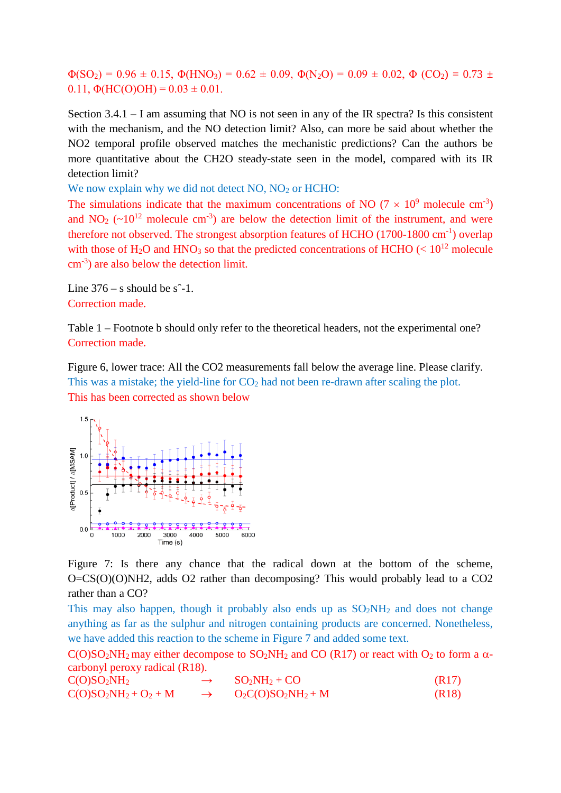$\Phi(SO_2) = 0.96 \pm 0.15$ ,  $\Phi(HNO_3) = 0.62 \pm 0.09$ ,  $\Phi(N_2O) = 0.09 \pm 0.02$ ,  $\Phi(CO_2) = 0.73 \pm 0.02$ 0.11,  $\Phi(HC(O)OH) = 0.03 \pm 0.01$ .

Section 3.4.1 – I am assuming that NO is not seen in any of the IR spectra? Is this consistent with the mechanism, and the NO detection limit? Also, can more be said about whether the NO2 temporal profile observed matches the mechanistic predictions? Can the authors be more quantitative about the CH2O steady-state seen in the model, compared with its IR detection limit?

We now explain why we did not detect NO, NO<sub>2</sub> or HCHO:

The simulations indicate that the maximum concentrations of NO ( $7 \times 10^9$  molecule cm<sup>-3</sup>) and NO<sub>2</sub> ( $\sim$ 10<sup>12</sup> molecule cm<sup>-3</sup>) are below the detection limit of the instrument, and were therefore not observed. The strongest absorption features of HCHO (1700-1800 cm<sup>-1</sup>) overlap with those of H<sub>2</sub>O and HNO<sub>3</sub> so that the predicted concentrations of HCHO ( $< 10^{12}$  molecule cm-3 ) are also below the detection limit.

Line  $376 - s$  should be  $s^2-1$ . Correction made.

Table 1 – Footnote b should only refer to the theoretical headers, not the experimental one? Correction made.

Figure 6, lower trace: All the CO2 measurements fall below the average line. Please clarify. This was a mistake; the yield-line for  $CO<sub>2</sub>$  had not been re-drawn after scaling the plot. This has been corrected as shown below



Figure 7: Is there any chance that the radical down at the bottom of the scheme, O=CS(O)(O)NH2, adds O2 rather than decomposing? This would probably lead to a CO2 rather than a CO?

This may also happen, though it probably also ends up as  $SO_2NH_2$  and does not change anything as far as the sulphur and nitrogen containing products are concerned. Nonetheless, we have added this reaction to the scheme in Figure 7 and added some text.

 $C(O)SO<sub>2</sub>NH<sub>2</sub>$  may either decompose to  $SO<sub>2</sub>NH<sub>2</sub>$  and CO (R17) or react with  $O<sub>2</sub>$  to form a  $\alpha$ carbonyl peroxy radical (R18).

 $C(O)SO_2NH_2 \rightarrow SO_2NH_2+CO$  (R17)  $C(O)SO<sub>2</sub>NH<sub>2</sub>+O<sub>2</sub>+M \rightarrow O<sub>2</sub>C(O)SO<sub>2</sub>NH<sub>2</sub>+M$  (R18)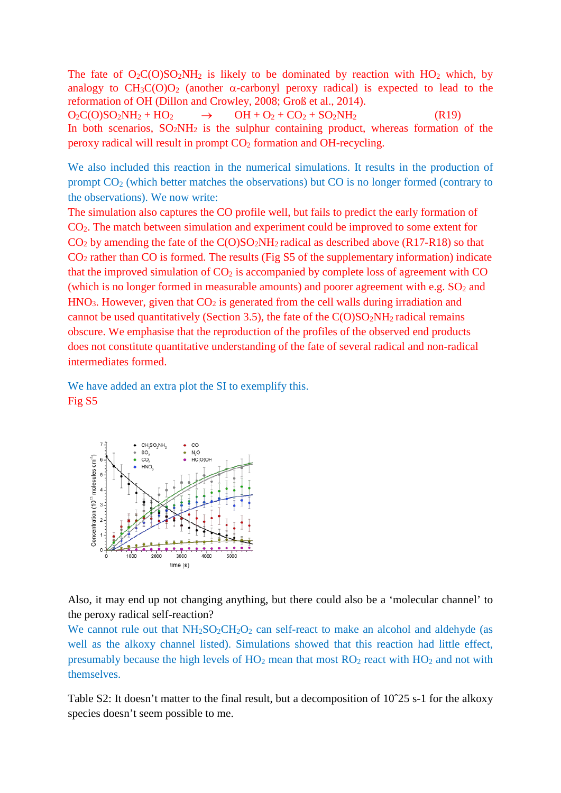The fate of  $O_2C(O)SO_2NH_2$  is likely to be dominated by reaction with  $HO_2$  which, by analogy to  $CH_3C(O)O_2$  (another  $\alpha$ -carbonyl peroxy radical) is expected to lead to the reformation of OH (Dillon and Crowley, 2008; Groß et al., 2014).  $O_2C(O)SO_2NH_2 + HO_2$   $\rightarrow$   $OH + O_2 + CO_2 + SO_2NH_2$  (R19)

In both scenarios,  $SO_2NH_2$  is the sulphur containing product, whereas formation of the  $peroxy$  radical will result in prompt  $CO<sub>2</sub>$  formation and OH-recycling.

We also included this reaction in the numerical simulations. It results in the production of prompt CO2 (which better matches the observations) but CO is no longer formed (contrary to the observations). We now write:

The simulation also captures the CO profile well, but fails to predict the early formation of CO2. The match between simulation and experiment could be improved to some extent for  $CO<sub>2</sub>$  by amending the fate of the  $C(O)SO<sub>2</sub>NH<sub>2</sub>$  radical as described above (R17-R18) so that  $CO<sub>2</sub>$  rather than CO is formed. The results (Fig S5 of the supplementary information) indicate that the improved simulation of  $CO<sub>2</sub>$  is accompanied by complete loss of agreement with  $CO$ (which is no longer formed in measurable amounts) and poorer agreement with e.g.  $SO<sub>2</sub>$  and  $HNO<sub>3</sub>$ . However, given that  $CO<sub>2</sub>$  is generated from the cell walls during irradiation and cannot be used quantitatively (Section 3.5), the fate of the  $C(O)SO<sub>2</sub>NH<sub>2</sub>$  radical remains obscure. We emphasise that the reproduction of the profiles of the observed end products does not constitute quantitative understanding of the fate of several radical and non-radical intermediates formed.

We have added an extra plot the SI to exemplify this. Fig S5



Also, it may end up not changing anything, but there could also be a 'molecular channel' to the peroxy radical self-reaction?

We cannot rule out that  $NH<sub>2</sub>SO<sub>2</sub>CH<sub>2</sub>O<sub>2</sub>$  can self-react to make an alcohol and aldehyde (as well as the alkoxy channel listed). Simulations showed that this reaction had little effect, presumably because the high levels of  $HO<sub>2</sub>$  mean that most  $RO<sub>2</sub>$  react with  $HO<sub>2</sub>$  and not with themselves.

Table S2: It doesn't matter to the final result, but a decomposition of 10<sup> $\text{25 s-1}$ </sup> for the alkoxy species doesn't seem possible to me.